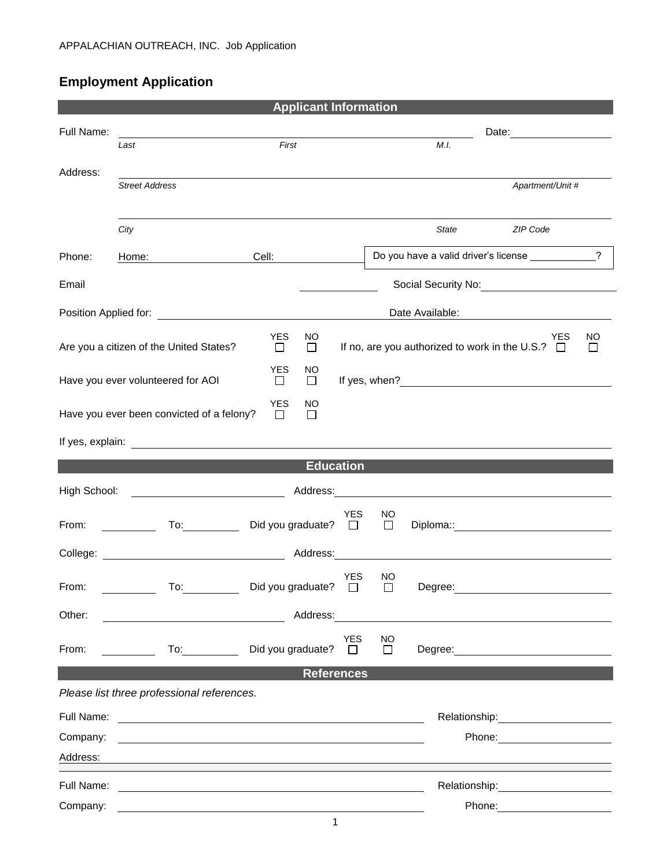## **Employment Application**

| <b>Applicant Information</b>                                                  |                                                                                                                                                                                                                                |                          |              |                            |              |         |                                                                                                                                                                                                                                |                |  |
|-------------------------------------------------------------------------------|--------------------------------------------------------------------------------------------------------------------------------------------------------------------------------------------------------------------------------|--------------------------|--------------|----------------------------|--------------|---------|--------------------------------------------------------------------------------------------------------------------------------------------------------------------------------------------------------------------------------|----------------|--|
| Full Name:                                                                    |                                                                                                                                                                                                                                |                          |              |                            |              |         |                                                                                                                                                                                                                                |                |  |
|                                                                               | Last                                                                                                                                                                                                                           | First                    |              |                            | M.I.         |         |                                                                                                                                                                                                                                |                |  |
| Address:                                                                      |                                                                                                                                                                                                                                |                          |              |                            |              |         |                                                                                                                                                                                                                                |                |  |
|                                                                               | <b>Street Address</b>                                                                                                                                                                                                          |                          |              |                            |              |         | Apartment/Unit #                                                                                                                                                                                                               |                |  |
|                                                                               | City                                                                                                                                                                                                                           |                          |              |                            |              | State   | ZIP Code                                                                                                                                                                                                                       |                |  |
|                                                                               |                                                                                                                                                                                                                                |                          |              |                            |              |         |                                                                                                                                                                                                                                |                |  |
| Phone:                                                                        | Home:                                                                                                                                                                                                                          | Cell:                    |              |                            |              |         | Do you have a valid driver's license ____________                                                                                                                                                                              | $\overline{?}$ |  |
| Email                                                                         |                                                                                                                                                                                                                                |                          |              |                            |              |         | Social Security No: Social Security No:                                                                                                                                                                                        |                |  |
| Position Applied for: <u>contract the manufacture of</u>                      |                                                                                                                                                                                                                                |                          |              | Date Available:            |              |         |                                                                                                                                                                                                                                |                |  |
|                                                                               |                                                                                                                                                                                                                                | <b>YES</b>               | NO           |                            |              |         | YES                                                                                                                                                                                                                            | <b>NO</b>      |  |
|                                                                               | Are you a citizen of the United States?                                                                                                                                                                                        | $\Box$                   | $\Box$       |                            |              |         | If no, are you authorized to work in the U.S.? □                                                                                                                                                                               | $\Box$         |  |
| <b>YES</b><br>Have you ever volunteered for AOI<br>$\Box$                     |                                                                                                                                                                                                                                |                          | NO<br>$\Box$ |                            |              |         |                                                                                                                                                                                                                                |                |  |
| <b>YES</b><br>NO<br>Have you ever been convicted of a felony?<br>П<br>$\perp$ |                                                                                                                                                                                                                                |                          |              |                            |              |         |                                                                                                                                                                                                                                |                |  |
|                                                                               |                                                                                                                                                                                                                                |                          |              |                            |              |         |                                                                                                                                                                                                                                |                |  |
| <b>Education</b>                                                              |                                                                                                                                                                                                                                |                          |              |                            |              |         |                                                                                                                                                                                                                                |                |  |
| High School:                                                                  |                                                                                                                                                                                                                                |                          |              |                            |              |         |                                                                                                                                                                                                                                |                |  |
|                                                                               |                                                                                                                                                                                                                                |                          |              | YES                        | NO           |         |                                                                                                                                                                                                                                |                |  |
| From:                                                                         | To: the contract of the contract of the contract of the contract of the contract of the contract of the contract of the contract of the contract of the contract of the contract of the contract of the contract of the contra | Did you graduate? $\Box$ |              |                            | $\Box$       |         | Diploma:: <u>___________________</u>                                                                                                                                                                                           |                |  |
| College:                                                                      |                                                                                                                                                                                                                                |                          | Address:     |                            |              |         |                                                                                                                                                                                                                                |                |  |
| From:                                                                         | To:                                                                                                                                                                                                                            | Did you graduate?        |              | <b>YES</b><br>$\mathsf{L}$ | ΝO<br>$\Box$ | Degree: |                                                                                                                                                                                                                                |                |  |
| Other:                                                                        |                                                                                                                                                                                                                                |                          | Address:     |                            |              |         |                                                                                                                                                                                                                                |                |  |
| From:                                                                         |                                                                                                                                                                                                                                | Did you graduate?        |              | <b>YES</b><br>$\Box$       | NO<br>$\Box$ |         |                                                                                                                                                                                                                                |                |  |
| <b>References</b>                                                             |                                                                                                                                                                                                                                |                          |              |                            |              |         |                                                                                                                                                                                                                                |                |  |
| Please list three professional references.                                    |                                                                                                                                                                                                                                |                          |              |                            |              |         |                                                                                                                                                                                                                                |                |  |
| Full Name:                                                                    | <u> 1989 - Andrea Station Barbara, amerikan personal (h. 1989)</u>                                                                                                                                                             |                          |              |                            |              |         |                                                                                                                                                                                                                                |                |  |
| Company:                                                                      |                                                                                                                                                                                                                                |                          |              |                            |              |         | Phone: <u>_______</u>                                                                                                                                                                                                          |                |  |
| Address:                                                                      |                                                                                                                                                                                                                                |                          |              |                            |              |         |                                                                                                                                                                                                                                |                |  |
| Full Name:                                                                    |                                                                                                                                                                                                                                |                          |              |                            |              |         | Relationship: example and the set of the set of the set of the set of the set of the set of the set of the set of the set of the set of the set of the set of the set of the set of the set of the set of the set of the set o |                |  |
| Company:                                                                      |                                                                                                                                                                                                                                |                          |              |                            |              |         | Phone:                                                                                                                                                                                                                         |                |  |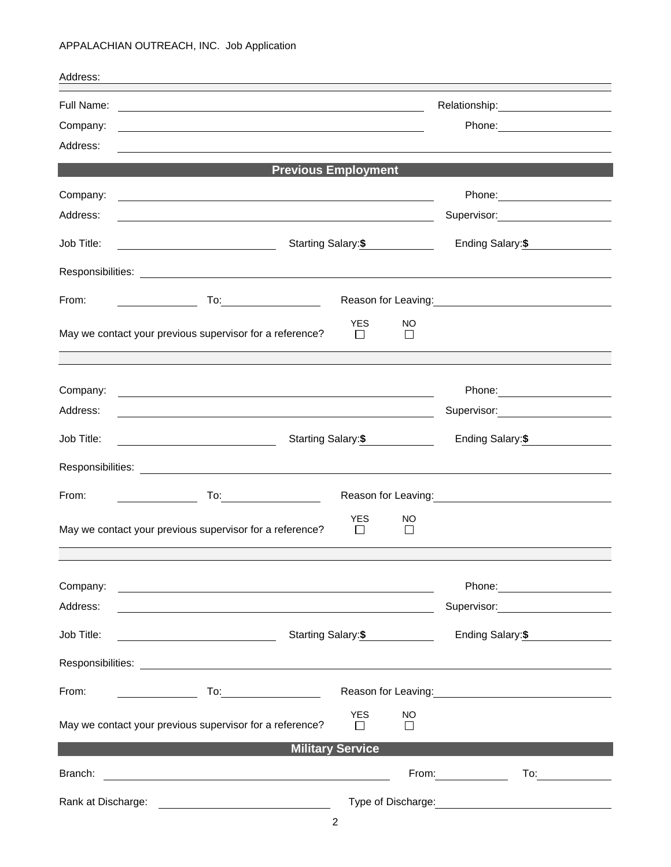## APPALACHIAN OUTREACH, INC. Job Application

| Address:                   |                                                                                                                                            |                                                                                                                                                                                                                                        |  |  |  |  |  |  |  |
|----------------------------|--------------------------------------------------------------------------------------------------------------------------------------------|----------------------------------------------------------------------------------------------------------------------------------------------------------------------------------------------------------------------------------------|--|--|--|--|--|--|--|
| Full Name:                 | <u> 1989 - Johann Stoff, deutscher Stoffen und der Stoffen und der Stoffen und der Stoffen und der Stoffen und der</u>                     |                                                                                                                                                                                                                                        |  |  |  |  |  |  |  |
| Company:                   |                                                                                                                                            | Phone: 2000 2000 2010 2010 2010 2010 2021 2022 2023 2024 2025 2020 2021 2022 2023 2021 2022 2023 2024 2025 20                                                                                                                          |  |  |  |  |  |  |  |
| Address:                   |                                                                                                                                            |                                                                                                                                                                                                                                        |  |  |  |  |  |  |  |
| <b>Previous Employment</b> |                                                                                                                                            |                                                                                                                                                                                                                                        |  |  |  |  |  |  |  |
| Company:                   |                                                                                                                                            |                                                                                                                                                                                                                                        |  |  |  |  |  |  |  |
| Address:                   | <u> 1980 - Johann Stoff, deutscher Stoff, der Stoff, der Stoff, der Stoff, der Stoff, der Stoff, der Stoff, der S</u>                      | Supervisor: Victor Communication                                                                                                                                                                                                       |  |  |  |  |  |  |  |
| Job Title:                 | Starting Salary: \$                                                                                                                        | Ending Salary: \$                                                                                                                                                                                                                      |  |  |  |  |  |  |  |
|                            |                                                                                                                                            |                                                                                                                                                                                                                                        |  |  |  |  |  |  |  |
| From:                      | <u>and the state of the state of the state</u>                                                                                             | Reason for Leaving:<br><u>Next and the manufacture of the set of the set of the set of the set of the set of the set of the set of the set of the set of the set of the set of the set of the set of the set of the set of the set</u> |  |  |  |  |  |  |  |
|                            | <b>YES</b><br>NO.<br>May we contact your previous supervisor for a reference?<br>$\Box$<br>$\Box$                                          |                                                                                                                                                                                                                                        |  |  |  |  |  |  |  |
|                            |                                                                                                                                            |                                                                                                                                                                                                                                        |  |  |  |  |  |  |  |
| Company:                   | <u> 1989 - Johann John Stoff, deutscher Stoffen und der Stoffen und der Stoffen und der Stoffen und der Stoffen</u>                        |                                                                                                                                                                                                                                        |  |  |  |  |  |  |  |
| Address:                   |                                                                                                                                            | Supervisor: 2000                                                                                                                                                                                                                       |  |  |  |  |  |  |  |
| Job Title:                 | <u> 1990 - Johann Barbara, politik eta politik eta politik eta politik eta politik eta politik eta politik eta p</u><br>Starting Salary:\$ | Ending Salary:\$                                                                                                                                                                                                                       |  |  |  |  |  |  |  |
|                            |                                                                                                                                            |                                                                                                                                                                                                                                        |  |  |  |  |  |  |  |
| From:                      |                                                                                                                                            | Reason for Leaving:<br><u>Next and the manufacture of the set of the set of the set of the set of the set of the set of the set of the set of the set of the set of the set of the set of the set of the set of the set of the set</u> |  |  |  |  |  |  |  |
|                            | <b>YES</b><br>NO<br>May we contact your previous supervisor for a reference?<br>$\Box$<br>$\Box$                                           |                                                                                                                                                                                                                                        |  |  |  |  |  |  |  |
|                            |                                                                                                                                            |                                                                                                                                                                                                                                        |  |  |  |  |  |  |  |
| Company:                   | <u> 1989 - Johann Stein, marwolaethau a bhann an t-Amhair ann an t-Amhair an t-Amhair an t-Amhair an t-Amhair an</u>                       |                                                                                                                                                                                                                                        |  |  |  |  |  |  |  |
| Address:                   |                                                                                                                                            | Supervisor: ____________________                                                                                                                                                                                                       |  |  |  |  |  |  |  |
| Job Title:                 | Starting Salary:\$<br><u> 1989 - Johann Barn, fransk politik amerikansk politik (</u>                                                      | Ending Salary: \$                                                                                                                                                                                                                      |  |  |  |  |  |  |  |
|                            |                                                                                                                                            |                                                                                                                                                                                                                                        |  |  |  |  |  |  |  |
| From:                      |                                                                                                                                            | Reason for Leaving: Management Control of Reason for Leaving:                                                                                                                                                                          |  |  |  |  |  |  |  |
|                            | <b>YES</b><br>NO.<br>May we contact your previous supervisor for a reference?<br>$\mathbf{L}$<br>$\mathbf{L}$                              |                                                                                                                                                                                                                                        |  |  |  |  |  |  |  |
| <b>Military Service</b>    |                                                                                                                                            |                                                                                                                                                                                                                                        |  |  |  |  |  |  |  |
| Branch:                    |                                                                                                                                            | From: The contract of the contract of the contract of the contract of the contract of the contract of the contract of the contract of the contract of the contract of the contract of the contract of the contract of the cont<br>To:  |  |  |  |  |  |  |  |
| Rank at Discharge:         | <u> 1989 - Johann Harry Harry Harry Harry Harry Harry Harry Harry Harry Harry Harry Harry Harry Harry Harry Harry</u>                      | Type of Discharge: <u>contained</u> and the contact of the contact of the contact of the contact of the contact of the contact of the contact of the contact of the contact of the contact of the contact of the contact of the con    |  |  |  |  |  |  |  |